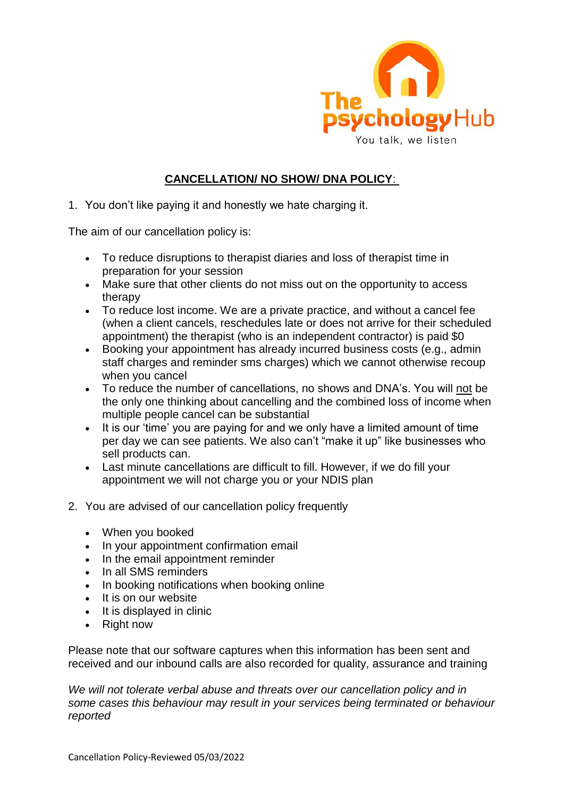

## **CANCELLATION/ NO SHOW/ DNA POLICY**:

1. You don't like paying it and honestly we hate charging it.

The aim of our cancellation policy is:

- To reduce disruptions to therapist diaries and loss of therapist time in preparation for your session
- Make sure that other clients do not miss out on the opportunity to access therapy
- To reduce lost income. We are a private practice, and without a cancel fee (when a client cancels, reschedules late or does not arrive for their scheduled appointment) the therapist (who is an independent contractor) is paid \$0
- Booking your appointment has already incurred business costs (e.g., admin staff charges and reminder sms charges) which we cannot otherwise recoup when you cancel
- To reduce the number of cancellations, no shows and DNA's. You will not be the only one thinking about cancelling and the combined loss of income when multiple people cancel can be substantial
- It is our 'time' you are paying for and we only have a limited amount of time per day we can see patients. We also can't "make it up" like businesses who sell products can.
- Last minute cancellations are difficult to fill. However, if we do fill your appointment we will not charge you or your NDIS plan
- 2. You are advised of our cancellation policy frequently
	- When you booked
	- In your appointment confirmation email
	- In the email appointment reminder
	- In all SMS reminders
	- In booking notifications when booking online
	- It is on our website
	- $\bullet$  It is displayed in clinic
	- Right now

Please note that our software captures when this information has been sent and received and our inbound calls are also recorded for quality, assurance and training

*We will not tolerate verbal abuse and threats over our cancellation policy and in some cases this behaviour may result in your services being terminated or behaviour reported*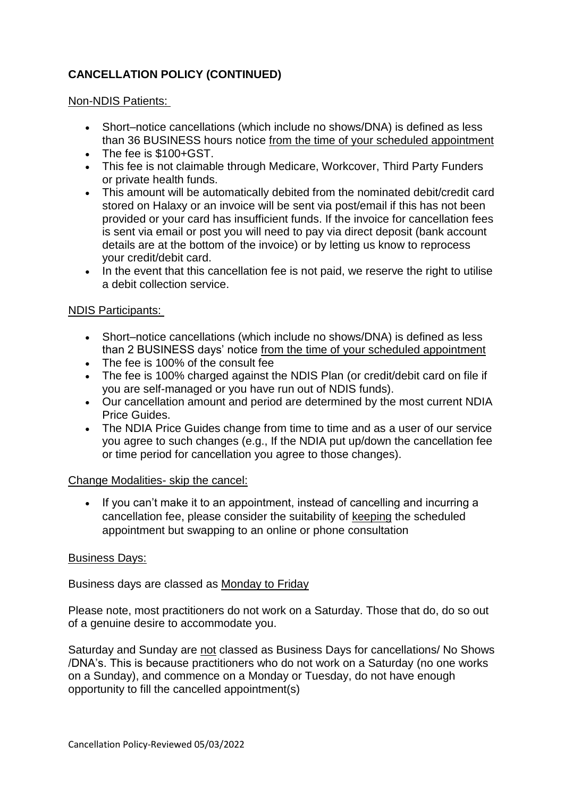# **CANCELLATION POLICY (CONTINUED)**

## Non-NDIS Patients:

- Short–notice cancellations (which include no shows/DNA) is defined as less than 36 BUSINESS hours notice from the time of your scheduled appointment
- The fee is \$100+GST.
- This fee is not claimable through Medicare, Workcover, Third Party Funders or private health funds.
- This amount will be automatically debited from the nominated debit/credit card stored on Halaxy or an invoice will be sent via post/email if this has not been provided or your card has insufficient funds. If the invoice for cancellation fees is sent via email or post you will need to pay via direct deposit (bank account details are at the bottom of the invoice) or by letting us know to reprocess your credit/debit card.
- In the event that this cancellation fee is not paid, we reserve the right to utilise a debit collection service.

## NDIS Participants:

- Short–notice cancellations (which include no shows/DNA) is defined as less than 2 BUSINESS days' notice from the time of your scheduled appointment
- The fee is 100% of the consult fee
- The fee is 100% charged against the NDIS Plan (or credit/debit card on file if you are self-managed or you have run out of NDIS funds).
- Our cancellation amount and period are determined by the most current NDIA Price Guides.
- The NDIA Price Guides change from time to time and as a user of our service you agree to such changes (e.g., If the NDIA put up/down the cancellation fee or time period for cancellation you agree to those changes).

## Change Modalities- skip the cancel:

• If you can't make it to an appointment, instead of cancelling and incurring a cancellation fee, please consider the suitability of keeping the scheduled appointment but swapping to an online or phone consultation

## Business Days:

Business days are classed as Monday to Friday

Please note, most practitioners do not work on a Saturday. Those that do, do so out of a genuine desire to accommodate you.

Saturday and Sunday are not classed as Business Days for cancellations/ No Shows /DNA's. This is because practitioners who do not work on a Saturday (no one works on a Sunday), and commence on a Monday or Tuesday, do not have enough opportunity to fill the cancelled appointment(s)